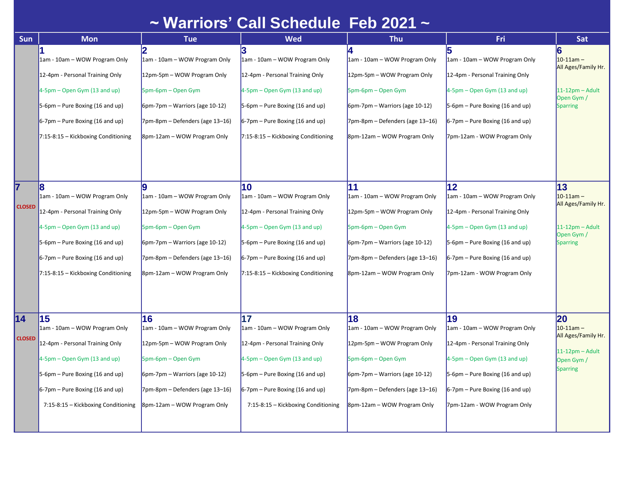## **~ Warriors' Call Schedule Feb 2021 ~**

| Sun                 | <b>Mon</b>                                                                                                                                                                                                                  | <b>Tue</b>                                                                                                                                                                                         | <b>Wed</b>                                                                                                                                                                                                                     | <b>Thu</b>                                                                                                                                                                                      | Fri                                                                                                                                                                                                            | Sat                                                                                                   |
|---------------------|-----------------------------------------------------------------------------------------------------------------------------------------------------------------------------------------------------------------------------|----------------------------------------------------------------------------------------------------------------------------------------------------------------------------------------------------|--------------------------------------------------------------------------------------------------------------------------------------------------------------------------------------------------------------------------------|-------------------------------------------------------------------------------------------------------------------------------------------------------------------------------------------------|----------------------------------------------------------------------------------------------------------------------------------------------------------------------------------------------------------------|-------------------------------------------------------------------------------------------------------|
|                     | 1am - 10am - WOW Program Only<br>12-4pm - Personal Training Only<br>$4-5$ pm – Open Gym (13 and up)<br>$5-6$ pm – Pure Boxing (16 and up)<br>$6-7$ pm – Pure Boxing (16 and up)<br>$7:15-8:15$ - Kickboxing Conditioning    | 12<br>1am - 10am - WOW Program Only<br>12pm-5pm - WOW Program Only<br>5pm-6pm – Open Gym<br>$6$ pm-7pm – Warriors (age 10-12)<br>$7$ pm-8pm – Defenders (age 13–16)<br>8pm-12am - WOW Program Only | 1am - 10am - WOW Program Only<br>12-4pm - Personal Training Only<br>$4-5$ pm – Open Gym (13 and up)<br>$5-6$ pm – Pure Boxing (16 and up)<br>$6-7$ pm – Pure Boxing (16 and up)<br>$7:15-8:15$ - Kickboxing Conditioning       | 1am - 10am - WOW Program Only<br>12pm-5pm - WOW Program Only<br>5pm-6pm – Open Gym<br>6pm-7pm - Warriors (age 10-12)<br>7pm-8pm – Defenders (age 13–16)<br>8pm-12am - WOW Program Only          | 1am - 10am - WOW Program Only<br>12-4pm - Personal Training Only<br>4-5pm – Open Gym (13 and up)<br>5-6pm - Pure Boxing (16 and up)<br>$6-7$ pm – Pure Boxing (16 and up)<br>7pm-12am - WOW Program Only       | 6<br>$10-11$ am -<br>All Ages/Family Hr.<br>$11-12$ pm - Adult<br>Open Gym<br><b>Sparring</b>         |
| 7<br><b>CLOSED</b>  | 8<br>1am - 10am – WOW Program Only<br>12-4pm - Personal Training Only<br>$4-5$ pm – Open Gym (13 and up)<br>$5-6$ pm – Pure Boxing (16 and up)<br>$6-7$ pm – Pure Boxing (16 and up)<br>7:15-8:15 - Kickboxing Conditioning | 1am - 10am – WOW Program Only<br>12pm-5pm - WOW Program Only<br>5pm-6pm – Open Gym<br>$6$ pm-7pm – Warriors (age 10-12)<br>$7$ pm-8pm – Defenders (age 13–16)<br>8pm-12am – WOW Program Only       | 10<br>1am - 10am – WOW Program Only<br>12-4pm - Personal Training Only<br>$4-5$ pm – Open Gym (13 and up)<br>$5-6$ pm – Pure Boxing (16 and up)<br>$6-7$ pm – Pure Boxing (16 and up)<br>$7:15-8:15$ – Kickboxing Conditioning | 11<br>1am - 10am – WOW Program Only<br>12pm-5pm - WOW Program Only<br>5pm-6pm – Open Gym<br>$6$ pm-7pm – Warriors (age 10-12)<br>7pm-8pm – Defenders (age 13–16)<br>8pm-12am – WOW Program Only | 12<br>1am - 10am – WOW Program Only<br>12-4pm - Personal Training Only<br>4-5pm – Open Gym (13 and up)<br>5-6pm – Pure Boxing (16 and up)<br>6-7pm – Pure Boxing (16 and up)<br>7pm-12am - WOW Program Only    | 13 <br>$10 - 11$ am $-$<br>All Ages/Family Hr.<br>$11-12$ pm - Adult<br>Open Gym /<br><b>Sparring</b> |
| 14<br><b>CLOSED</b> | 15<br>1am - 10am - WOW Program Only<br>12-4pm - Personal Training Only<br>4-5pm – Open Gym (13 and up)<br>$5-6$ pm – Pure Boxing (16 and up)<br>$6-7$ pm – Pure Boxing (16 and up)<br>7:15-8:15 - Kickboxing Conditioning   | 16<br>1am - 10am – WOW Program Only<br>12pm-5pm - WOW Program Only<br>5pm-6pm – Open Gym<br>$6$ pm-7pm – Warriors (age 10-12)<br>$7$ pm-8pm – Defenders (age 13–16)<br>8pm-12am – WOW Program Only | 17<br>1am - 10am – WOW Program Only<br>12-4pm - Personal Training Only<br>$4-5$ pm – Open Gym (13 and up)<br>$5-6$ pm – Pure Boxing (16 and up)<br>$6-7$ pm – Pure Boxing (16 and up)<br>7:15-8:15 - Kickboxing Conditioning   | 18<br>1am - 10am – WOW Program Only<br>12pm-5pm - WOW Program Only<br>5pm-6pm – Open Gym<br>$6$ pm-7pm – Warriors (age 10-12)<br>7pm-8pm - Defenders (age 13-16)<br>8pm-12am – WOW Program Only | 19<br>1am - 10am – WOW Program Only<br>12-4pm - Personal Training Only<br>4-5pm – Open Gym (13 and up)<br>5-6pm – Pure Boxing (16 and up)<br>$6-7$ pm – Pure Boxing (16 and up)<br>7pm-12am - WOW Program Only | 20<br>$10-11am -$<br>All Ages/Family Hr.<br>$11-12$ pm - Adult<br>Open Gym /<br><b>Sparring</b>       |